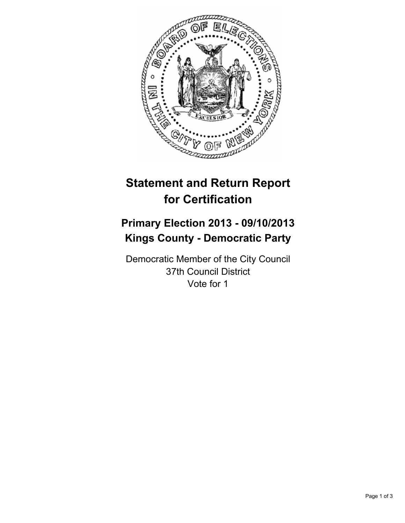

# **Statement and Return Report for Certification**

## **Primary Election 2013 - 09/10/2013 Kings County - Democratic Party**

Democratic Member of the City Council 37th Council District Vote for 1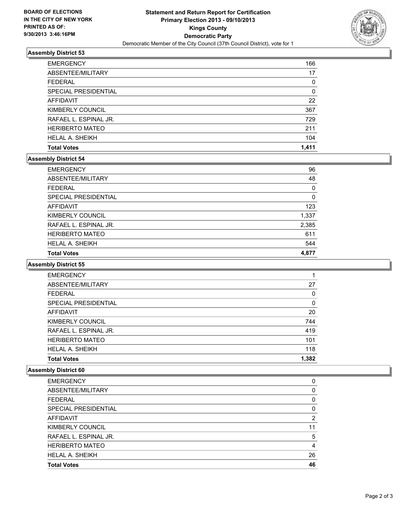

### **Assembly District 53**

| <b>SPECIAL PRESIDENTIAL</b>          | 0         |
|--------------------------------------|-----------|
| <b>AFFIDAVIT</b><br>KIMBERLY COUNCIL | 22<br>367 |
| RAFAEL L. ESPINAL JR.                | 729       |
| <b>HERIBERTO MATEO</b>               | 211       |
| <b>HELAL A. SHEIKH</b>               | 104       |
| <b>Total Votes</b>                   | 1.411     |

### **Assembly District 54**

| <b>EMERGENCY</b>            | 96       |
|-----------------------------|----------|
| ABSENTEE/MILITARY           | 48       |
| <b>FEDERAL</b>              | $\Omega$ |
| <b>SPECIAL PRESIDENTIAL</b> | 0        |
| <b>AFFIDAVIT</b>            | 123      |
| KIMBERLY COUNCIL            | 1,337    |
| RAFAEL L. ESPINAL JR.       | 2,385    |
| <b>HERIBERTO MATEO</b>      | 611      |
| <b>HELAL A. SHEIKH</b>      | 544      |
| <b>Total Votes</b>          | 4.877    |

#### **Assembly District 55**

| <b>EMERGENCY</b>       |       |
|------------------------|-------|
| ABSENTEE/MILITARY      | 27    |
| <b>FEDERAL</b>         | 0     |
| SPECIAL PRESIDENTIAL   | 0     |
| <b>AFFIDAVIT</b>       | 20    |
| KIMBERLY COUNCIL       | 744   |
| RAFAEL L. ESPINAL JR.  | 419   |
| <b>HERIBERTO MATEO</b> | 101   |
| <b>HELAL A. SHEIKH</b> | 118   |
| <b>Total Votes</b>     | 1,382 |

### **Assembly District 60**

| <b>EMERGENCY</b>       | 0        |
|------------------------|----------|
| ABSENTEE/MILITARY      | 0        |
| <b>FEDERAL</b>         | $\Omega$ |
| SPECIAL PRESIDENTIAL   | 0        |
| AFFIDAVIT              | 2        |
| KIMBERLY COUNCIL       | 11       |
| RAFAEL L. ESPINAL JR.  | 5        |
| <b>HERIBERTO MATEO</b> | 4        |
| <b>HELAL A. SHEIKH</b> | 26       |
| <b>Total Votes</b>     | 46       |